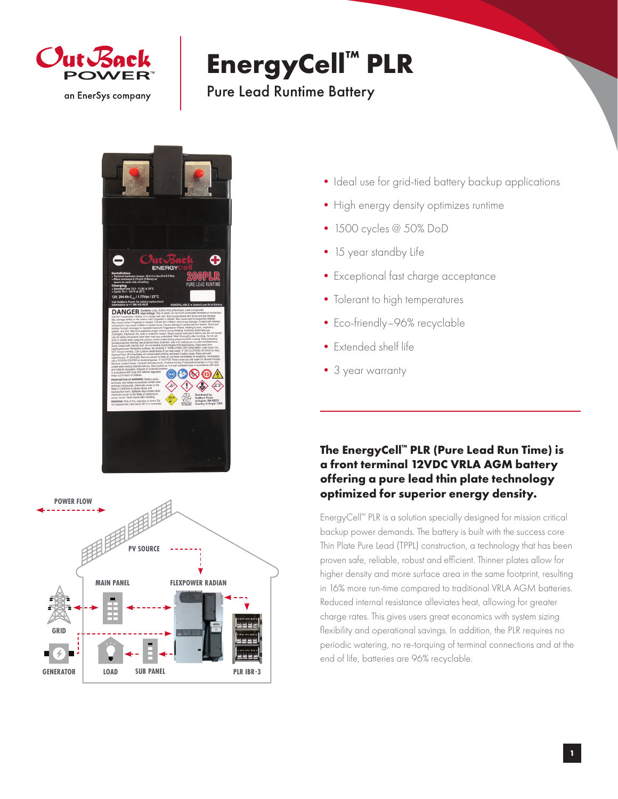

## **EnergyCell™ PLR**

## Pure Lead Runtime Battery





- Ideal use for grid-tied battery backup applications
- High energy density optimizes runtime
- •1500 cycles @ 50% DoD
- 15 year standby Life
- •Exceptional fast charge acceptance
- Tolerant to high temperatures
- Eco-friendly-96% recyclable
- •Extended shelf life
- •3 year warranty

## **The EnergyCell™ PLR (Pure Lead Run Time) is a front terminal 12VDC VRLA AGM battery offering a pure lead thin plate technology optimized for superior energy density.**

EnergyCell™ PLR is a solution specially designed for mission critical backup power demands. The battery is built with the success core Thin Plate Pure Lead (TPPL) construction, a technology that has been proven safe, reliable, robust and efficient. Thinner plates allow for higher density and more surface area in the same footprint, resulting in 16% more run-time compared to traditional VRLA AGM batteries. Reduced internal resistance alleviates heat, allowing for greater charge rates. This gives users great economics with system sizing flexibility and operational savings. In addition, the PLR requires no periodic watering, no re-torquing of terminal connections and at the end of life, batteries are 96% recyclable.